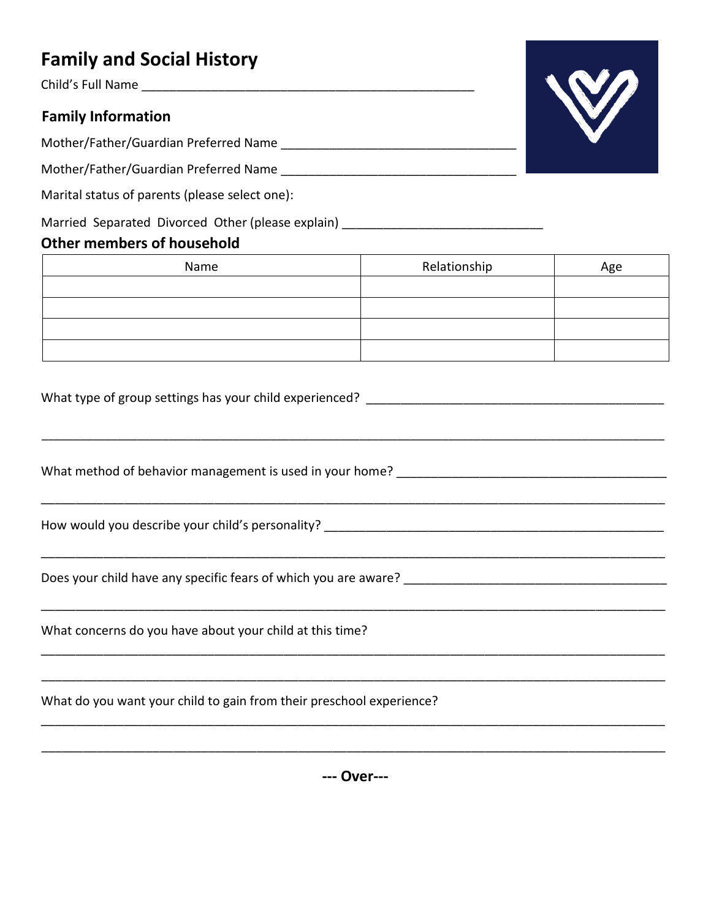## **Family and Social History**

Child's Full Name \_\_\_\_\_\_\_\_\_\_\_\_\_\_\_\_\_\_\_\_\_\_\_\_\_\_\_\_\_\_\_\_\_\_\_\_\_\_\_\_\_\_\_\_\_\_\_\_

## **Family Information**

Mother/Father/Guardian Preferred Name \_\_\_\_\_\_\_\_\_\_\_\_\_\_\_\_\_\_\_\_\_\_\_\_\_\_\_\_\_\_\_\_\_\_

Mother/Father/Guardian Preferred Name \_\_\_\_\_\_\_\_\_\_\_\_\_\_\_\_\_\_\_\_\_\_\_\_\_\_\_\_\_\_\_\_\_\_

Marital status of parents (please select one):

Married Separated Divorced Other (please explain) \_\_\_\_\_\_\_\_\_\_\_\_\_\_\_\_\_\_\_\_\_\_\_\_\_\_\_\_\_\_

## **Other members of household**

| <b>Other members of nousehold</b> |              |     |
|-----------------------------------|--------------|-----|
| Name                              | Relationship | Age |
|                                   |              |     |
|                                   |              |     |
|                                   |              |     |
|                                   |              |     |

\_\_\_\_\_\_\_\_\_\_\_\_\_\_\_\_\_\_\_\_\_\_\_\_\_\_\_\_\_\_\_\_\_\_\_\_\_\_\_\_\_\_\_\_\_\_\_\_\_\_\_\_\_\_\_\_\_\_\_\_\_\_\_\_\_\_\_\_\_\_\_\_\_\_\_\_\_\_\_\_\_\_\_\_\_\_\_\_\_\_\_\_\_\_\_\_\_\_

\_\_\_\_\_\_\_\_\_\_\_\_\_\_\_\_\_\_\_\_\_\_\_\_\_\_\_\_\_\_\_\_\_\_\_\_\_\_\_\_\_\_\_\_\_\_\_\_\_\_\_\_\_\_\_\_\_\_\_\_\_\_\_\_\_\_\_\_\_\_\_\_\_\_\_\_\_\_\_\_\_\_\_\_\_\_\_\_\_\_

\_\_\_\_\_\_\_\_\_\_\_\_\_\_\_\_\_\_\_\_\_\_\_\_\_\_\_\_\_\_\_\_\_\_\_\_\_\_\_\_\_\_\_\_\_\_\_\_\_\_\_\_\_\_\_\_\_\_\_\_\_\_\_\_\_\_\_\_\_\_\_\_\_\_\_\_\_\_\_\_\_\_\_\_\_\_\_\_\_\_

\_\_\_\_\_\_\_\_\_\_\_\_\_\_\_\_\_\_\_\_\_\_\_\_\_\_\_\_\_\_\_\_\_\_\_\_\_\_\_\_\_\_\_\_\_\_\_\_\_\_\_\_\_\_\_\_\_\_\_\_\_\_\_\_\_\_\_\_\_\_\_\_\_\_\_\_\_\_\_\_\_\_\_\_\_\_\_\_\_\_

\_\_\_\_\_\_\_\_\_\_\_\_\_\_\_\_\_\_\_\_\_\_\_\_\_\_\_\_\_\_\_\_\_\_\_\_\_\_\_\_\_\_\_\_\_\_\_\_\_\_\_\_\_\_\_\_\_\_\_\_\_\_\_\_\_\_\_\_\_\_\_\_\_\_\_\_\_\_\_\_\_\_\_\_\_\_\_\_\_\_

\_\_\_\_\_\_\_\_\_\_\_\_\_\_\_\_\_\_\_\_\_\_\_\_\_\_\_\_\_\_\_\_\_\_\_\_\_\_\_\_\_\_\_\_\_\_\_\_\_\_\_\_\_\_\_\_\_\_\_\_\_\_\_\_\_\_\_\_\_\_\_\_\_\_\_\_\_\_\_\_\_\_\_\_\_\_\_\_\_\_

\_\_\_\_\_\_\_\_\_\_\_\_\_\_\_\_\_\_\_\_\_\_\_\_\_\_\_\_\_\_\_\_\_\_\_\_\_\_\_\_\_\_\_\_\_\_\_\_\_\_\_\_\_\_\_\_\_\_\_\_\_\_\_\_\_\_\_\_\_\_\_\_\_\_\_\_\_\_\_\_\_\_\_\_\_\_\_\_\_\_

What type of group settings has your child experienced? What type of group settings

What method of behavior management is used in your home?

How would you describe your child's personality? \_\_\_\_\_\_\_\_\_\_\_\_\_\_\_\_\_\_\_\_\_\_\_\_\_\_\_\_\_\_\_\_\_\_\_\_\_\_\_\_\_\_\_\_\_\_\_\_\_

Does your child have any specific fears of which you are aware? \_\_\_\_\_\_\_\_\_\_\_\_\_\_\_\_\_\_\_\_\_\_\_\_\_\_\_\_\_\_\_\_\_\_\_\_\_\_

What concerns do you have about your child at this time?

What do you want your child to gain from their preschool experience?

**--- Over---**



\_\_\_\_\_\_\_\_\_\_\_\_\_\_\_\_\_\_\_\_\_\_\_\_\_\_\_\_\_\_\_\_\_\_\_\_\_\_\_\_\_\_\_\_\_\_\_\_\_\_\_\_\_\_\_\_\_\_\_\_\_\_\_\_\_\_\_\_\_\_\_\_\_\_\_\_\_\_\_\_\_\_\_\_\_\_\_\_\_\_